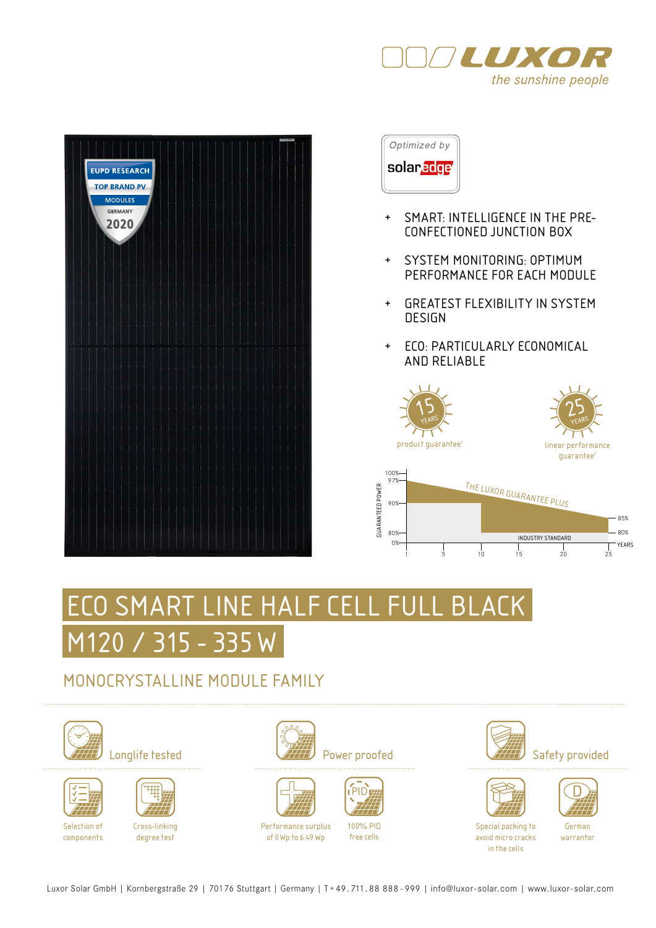





- + SMART: INTELLIGENCE IN THE PRE-CONFECTIONED JUNCTION BOX
- + SYSTEM MONITORING: OPTIMUM PERFORMANCE FOR EACH MODULE
- + GREATEST FLEXIBILITY IN SYSTEM DESIGN
- + ECO: PARTICULARLY ECONOMICAL AND RELIABLE







# SMART LINE HALF CELL FULL BLACK M120 / 315 - 335 W

### MONOCRYSTALLINE MODULE FAMILY





Selection of components



Cross-linking degree test







Performance surplus of 0Wp to 6.49 Wp



100% PID free cells











Special packing to avoid micro cracks in the cells

German warrantor